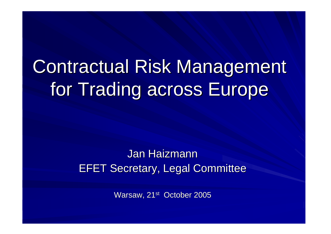# Contractual Risk Management for Trading across Europe

### Jan HaizmannEFET Secretary, Legal Committee

Warsaw, 21<sup>st</sup> October 2005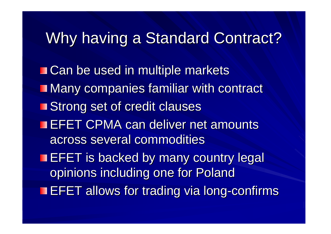# Why having a Standard Contract?

■ Can be used in multiple markets **Many companies familiar with contract** Strong set of credit clauses **EFET CPMA can deliver net amounts** across several commodities**EFET is backed by many country legal** opinions including one for PolandEFET allows for trading via long-confirms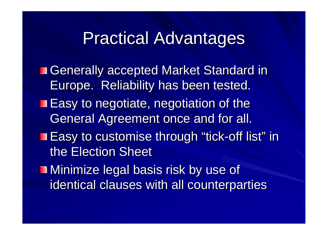# Practical Advantages

■ Generally accepted Market Standard in Europe. Reliability has been tested.**Easy to negotiate, negotiation of the** General Agreement once and for all.Easy to customise through "tick-off list" in the Election Sheet**Ninimize legal basis risk by use of** identical clauses with all counterparties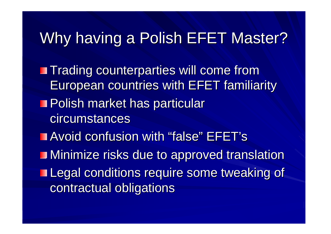# Why having a Polish EFET Master?

**Trading counterparties will come from** European countries with EFET familiarity**Polish market has particular** circumstancesAvoid confusion with "false" EFET's**I** Minimize risks due to approved translation **Legal conditions require some tweaking of** contractual obligations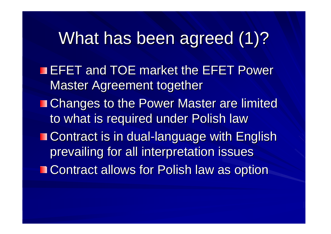# What has been agreed (1)?

**EFET and TOE market the EFET Power** Master Agreement together**Example Changes to the Power Master are limited** to what is required under Polish law

 Contract is in dual-language with English prevailing for all interpretation issues■ Contract allows for Polish law as option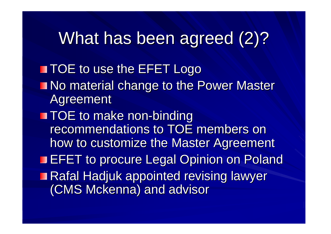# What has been agreed (2)?

**THE TOE to use the EFET Logo No material change to the Power Master** AgreementTOE to make non-binding recommendations to TOE members on how to customize the Master Agreement**EFET to procure Legal Opinion on Poland** ■ Rafal Hadjuk appointed revising lawyer (CMS Mckenna) and advisor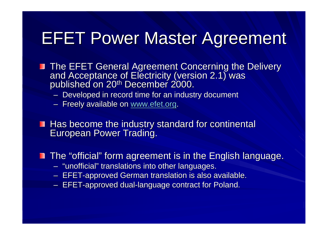# EFET Power Master Agreement

- **The EFET General Agreement Concerning the Delivery** and Acceptance of Electricity (version 2.1) was<br>published on 20<sup>th</sup> December 2000.
	- Developed in record time for an industry document
	- Freely available on <u>www.efet.org</u>.
- Has become the industry standard for continental European Power Trading.
- The "official" form agreement is in the English language.
	- –"unofficial" translations into other languages.
	- **The company's company's company's company's company's company's company's company's company's company's company's** EFET-approved German translation is also available.
	- FFF  $-$  EFET-approved dual-language contract for Poland.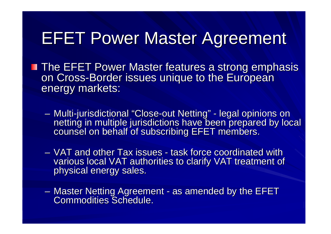# EFET Power Master Agreement

- The EFET Power Master features a strong emphasis ш on Cross-Border issues unique to the European energy markets:
	- Multi -jurisdictional "Close-out Netting"- netting in multiple jurisdictions have been prepared by local - legal opinions on counsel on behalf of subscribing EFET members.
	- VAT and other Tax issues -- task force coordinated with various local VAT authorities to clarify VAT treatment of physical energy sales.
	- Master Netting Agreement<br>Cemmedities Sebedule -- as amended by the EFET Commodities Schedule.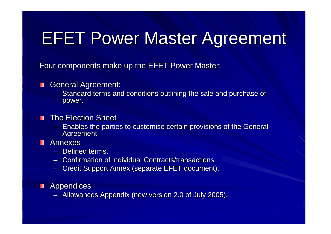# EFET Power Master Agreement

Four components make up the EFET Power Master:

#### General Agreement:  $\blacksquare$

– Standard terms and conditions outlining the sale and purchase of power.

#### The Election Sheet $\blacksquare$

– Enables the parties to customise certain provisions of the General Agreement

#### Annexesш

- Defined terms.
- Confirmation of individual Contracts/transactions.
- Credit Support Annex (separate EFET document).

#### **Appendices**

– Allowances Appendix (new version 2.0 of July 2005).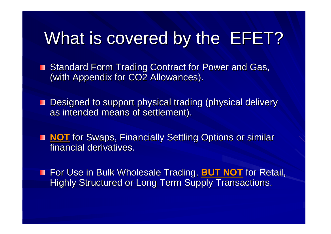# What is covered by the EFET?

■ Standard Form Trading Contract for Power and Gas, (with Appendix for CO2 Allowances).

■ Designed to support physical trading (physical delivery as intended means of settlement).

**NOT** for Swaps, Financially Settling Options or similar<br>financial derivatives financial derivatives.

For Use in Bulk Wholesale Trading, **BUT NOT** for Retail, Highly Structured or Long Term Supply Transactions.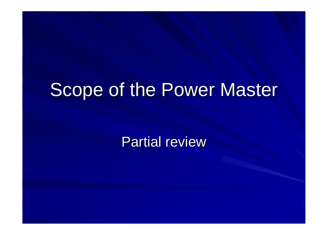# Scope of the Power Master

Partial review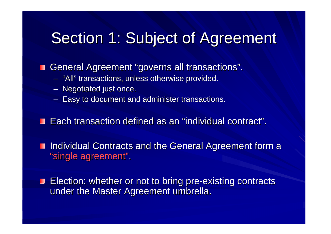# Section 1: Subject of Agreement

General Agreement "governs all transactions".

- –"All" transactions, unless otherwise provided.
- – $-$  Negotiated just once.
- – $-$  Easy to document and administer transactions.

Each transaction defined as an "individual contract".

**Individual Contracts and the General Agreement form a** "single agreement".

Election: whether or not to bring pre-existing contracts under the Master Agreement umbrella.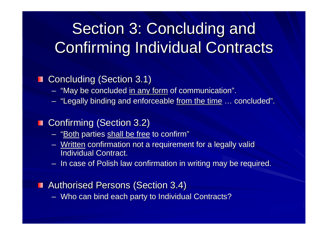# Section 3: Concluding and Confirming Individual Contracts

### Concluding (Section 3.1)

- –"May be concluded <u>in any form</u> of communication".<br>"Lesselly binding and enforceable from the time."
- –"Legally binding and enforceable <u>from the time</u> … ... concluded".<br>...

### ■ Confirming (Section 3.2)

- "<u>Both</u> parties <u>shall be free</u> to confirm"
- Written confirmation not a requirem - <u>Written</u> confirmation not a requirement for a legally valid Individual Contract.
- – $-$  In case of Polish law confirmation in writing may be required.

#### **Authorised Persons (Section 3.4)**

–Who can bind each party to Individual Contracts?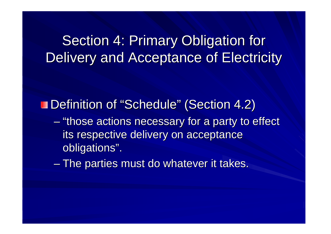### Section 4: Primary Obligation for Delivery and Acceptance of Electricity

Definition of "Schedule" (Section 4.2)

- en al control de la control de "those actions necessary for a party to effect its respective delivery on acceptance obligations".
- en al control de la control de  $-$  The parties must do whatever it takes.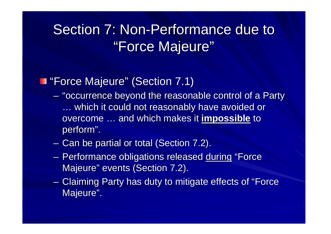### Section 7: Non-Performance due to "Force Majeure"

### "Force Majeure" (Section 7.1)

- $\mathcal{L}_{\mathcal{A}}$ - "occurrence beyond the reasonable control of a Party …… which it could not reasonably have avoided or<br>overcome and which makes it **imnossible** to overcome … and which makes it **impossible** to perform".
- $-$  Can be partial or total (Section 7.2).
- Performance obligations released <u>during</u> "Force Majeure" events (Section 7.2).
- Claiming Party has duty to mitigate effects of "Force Majeure".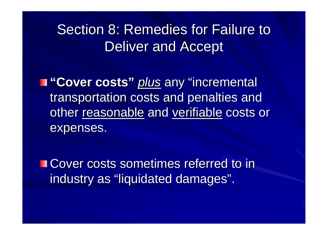### Section 8: Remedies for Failure to Deliver and Accept

**"Cover costs"** plus any "incremental transportation costs and penalties and other <u>reasonable</u> and <u>verifiable</u> costs or expenses.

■ Cover costs sometimes referred to in industry as "liquidated damages".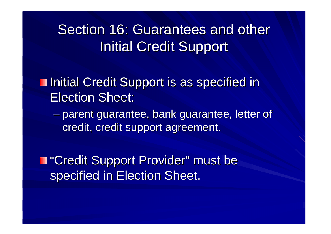### Section 16: Guarantees and other Initial Credit Support

**Initial Credit Support is as specified in** Election Sheet:

 $\mathcal{L}_{\mathcal{A}}$  , where  $\mathcal{L}_{\mathcal{A}}$  is the set of the set of the set of the set of the set of the set of the set of the set of the set of the set of the set of the set of the set of the set of the set of the set of the parent guarantee, bank guarantee, letter of credit, credit support agreement.

"Credit Support Provider" must be specified in Election Sheet.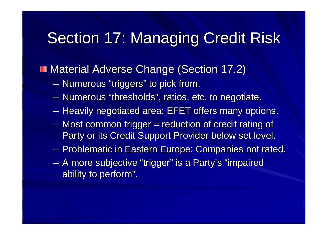# Section 17: Managing Credit Risk

### **Material Adverse Change (Section 17.2)**

- $-$  Numerous "triggers" to pick from.
- $-$  Numerous "thresholds", ratios, etc. to negotiate.
- $-$  Heavily negotiated area; EFET offers many options.
- Most common trigger = reduction of credit rating of Party or its Credit Support Provider below set level.
- – $-$  Problematic in Eastern Europe: Companies not rated.
- $\mathcal{L}_{\mathcal{A}}$  A more subjective "trigger" is a Party's "impaired ability to perform".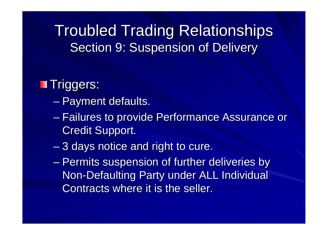Troubled Trading RelationshipsSection 9: Suspension of Delivery

### **Triggers:**

- $\mathcal{L}_{\mathcal{A}}$  , where  $\mathcal{L}_{\mathcal{A}}$  is the set of the set of the set of the set of the set of the set of the set of the set of the set of the set of the set of the set of the set of the set of the set of the set of the — Payment defaults.
- $\mathcal{L}_{\mathcal{A}}$  , where  $\mathcal{L}_{\mathcal{A}}$  is the set of the set of the set of the set of the set of the set of the set of the set of the set of the set of the set of the set of the set of the set of the set of the set of the – Failures to provide Performance Assurance or Credit Support.
- $\mathcal{L}_{\mathcal{A}}$  , where  $\mathcal{L}_{\mathcal{A}}$  is the set of the set of the set of the set of the set of the set of the set of the set of the set of the set of the set of the set of the set of the set of the set of the set of the  $-$  3 days notice and right to cure.
- $\mathcal{L}_{\mathcal{A}}$  , where  $\mathcal{L}_{\mathcal{A}}$  is the set of the set of the set of the set of the set of the set of the set of the set of the set of the set of the set of the set of the set of the set of the set of the set of the – Permits suspension of further deliveries by Non-Defaulting Party under ALL Individual Contracts where it is the seller.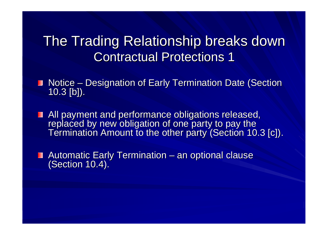### The Trading Relationship breaks downContractual Protections 1

- Notice – 10.3 [b]).– Designation of Early Termination Date (Section<br>יי
- All payment and performance obligations released, replaced by new obligation of one party to pay the Termination Amount to the other party (Section 10.3 [c]).
- Automatic Early Termination **Line Communication**  $-$  an optional clause (Section 10.4).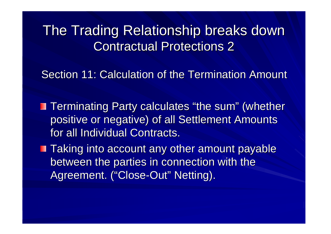The Trading Relationship breaks downContractual Protections 2

Section 11: Calculation of the Termination Amount

- Terminating Party calculates "the sum" (whether positive or negative) of all Settlement Amounts for all Individual Contracts.
- **Taking into account any other amount payable** between the parties in connection with the Agreement. ("Close-Out" Netting).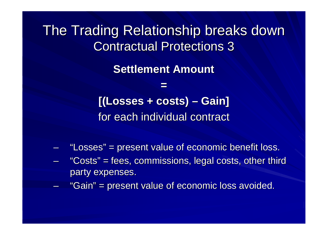The Trading Relationship breaks downContractual Protections 3

**Settlement Amount**

**=[(Losses + costs) – Gain]** for each individual contract

- –"Losses" = present value of economic benefit loss.
- –"Costs" = fees, commissions, legal costs, other third party expenses.
- "Gain" = present value of economic loss avoided.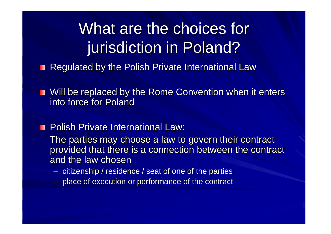# What are the choices for jurisdiction in Poland?

- **Regulated by the Polish Private International Law**
- **No. 2018** Will be replaced by the Rome Convention when it enters into force for Poland
- **Polish Private International Law:** 
	- The parties may choose a law to govern their contract provided that there is a connection between the contract and the law chosen
		- citizanshin / rasida  $-$  citizenship / residence / seat of one of the parties
	- $-$  place of execution or performance of the contract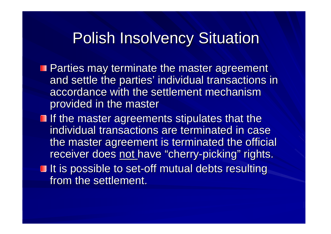### Polish Insolvency Situation

- **Parties may terminate the master agreement**  and settle the parties' individual transactions in accordance with the settlement mechanism provided in the master
- $\blacksquare$  If the master agreements stipulates that the individual transactions are terminated in case the master agreement is terminated the official receiver does <u>not </u>have "cherry-picking" rights.
- It is possible to set-off mutual debts resulting from the settlement.